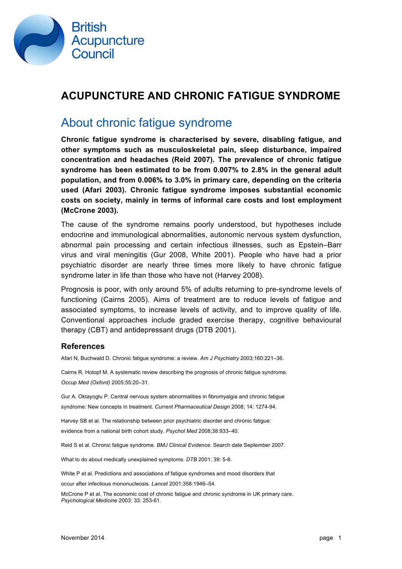

### **ACUPUNCTURE AND CHRONIC FATIGUE SYNDROME**

## About chronic fatigue syndrome

**Chronic fatigue syndrome is characterised by severe, disabling fatigue, and other symptoms such as musculoskeletal pain, sleep disturbance, impaired concentration and headaches (Reid 2007). The prevalence of chronic fatigue syndrome has been estimated to be from 0.007% to 2.8% in the general adult population, and from 0.006% to 3.0% in primary care, depending on the criteria used (Afari 2003). Chronic fatigue syndrome imposes substantial economic costs on society, mainly in terms of informal care costs and lost employment (McCrone 2003).** 

The cause of the syndrome remains poorly understood, but hypotheses include endocrine and immunological abnormalities, autonomic nervous system dysfunction, abnormal pain processing and certain infectious illnesses, such as Epstein–Barr virus and viral meningitis (Gur 2008, White 2001). People who have had a prior psychiatric disorder are nearly three times more likely to have chronic fatigue syndrome later in life than those who have not (Harvey 2008).

Prognosis is poor, with only around 5% of adults returning to pre-syndrome levels of functioning (Cairns 2005). Aims of treatment are to reduce levels of fatigue and associated symptoms, to increase levels of activity, and to improve quality of life. Conventional approaches include graded exercise therapy, cognitive behavioural therapy (CBT) and antidepressant drugs (DTB 2001).

#### **References**

Afari N, Buchwald D. Chronic fatigue syndrome: a review. *Am J Psychiatry* 2003;160:221–36.

Cairns R, Hotopf M. A systematic review describing the prognosis of chronic fatigue syndrome. *Occup Med (Oxford)* 2005;55:20–31.

Gur A. Oktayoglu P. Central nervous system abnormalities in fibromyalgia and chronic fatigue syndrome: New concepts in treatment. *Current Pharmaceutical Design* 2008; 14: 1274-94.

Harvey SB et al. The relationship between prior psychiatric disorder and chronic fatigue: evidence from a national birth cohort study. *Psychol Med* 2008;38:933–40.

Reid S et al. Chronic fatigue syndrome. *BMJ Clinical Evidence*. Search date September 2007.

What to do about medically unexplained symptoms. *DTB* 2001; 39: 5-8.

White P et al. Predictions and associations of fatigue syndromes and mood disorders that

occur after infectious mononucleosis. *Lancet* 2001;358:1946–54.

McCrone P et al. The economic cost of chronic fatigue and chronic syndrome in UK primary care. *Psychological Medicine* 2003; 33: 253-61.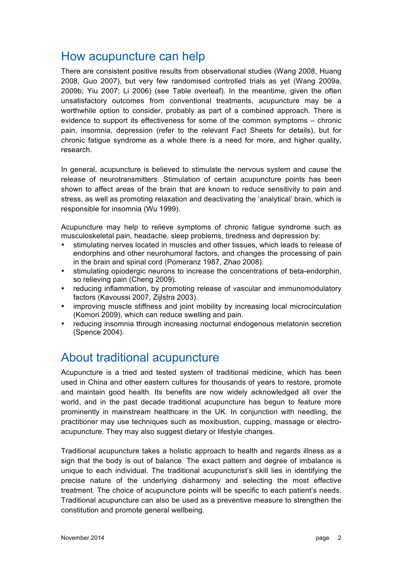## How acupuncture can help

There are consistent positive results from observational studies (Wang 2008, Huang 2008, Guo 2007), but very few randomised controlled trials as yet (Wang 2009a, 2009b; Yiu 2007; Li 2006) (see Table overleaf). In the meantime, given the often unsatisfactory outcomes from conventional treatments, acupuncture may be a worthwhile option to consider, probably as part of a combined approach. There is evidence to support its effectiveness for some of the common symptoms – chronic pain, insomnia, depression (refer to the relevant Fact Sheets for details), but for chronic fatigue syndrome as a whole there is a need for more, and higher quality, research.

In general, acupuncture is believed to stimulate the nervous system and cause the release of neurotransmitters. Stimulation of certain acupuncture points has been shown to affect areas of the brain that are known to reduce sensitivity to pain and stress, as well as promoting relaxation and deactivating the 'analytical' brain, which is responsible for insomnia (Wu 1999).

Acupuncture may help to relieve symptoms of chronic fatigue syndrome such as musculoskeletal pain, headache, sleep problems, tiredness and depression by:

- stimulating nerves located in muscles and other tissues, which leads to release of endorphins and other neurohumoral factors, and changes the processing of pain in the brain and spinal cord (Pomeranz 1987, Zhao 2008).
- stimulating opiodergic neurons to increase the concentrations of beta-endorphin, so relieving pain (Cheng 2009).
- reducing inflammation, by promoting release of vascular and immunomodulatory factors (Kavoussi 2007, Zijlstra 2003).
- improving muscle stiffness and joint mobility by increasing local microcirculation (Komori 2009), which can reduce swelling and pain.
- reducing insomnia through increasing nocturnal endogenous melatonin secretion (Spence 2004).

### About traditional acupuncture

Acupuncture is a tried and tested system of traditional medicine, which has been used in China and other eastern cultures for thousands of years to restore, promote and maintain good health. Its benefits are now widely acknowledged all over the world, and in the past decade traditional acupuncture has begun to feature more prominently in mainstream healthcare in the UK. In conjunction with needling, the practitioner may use techniques such as moxibustion, cupping, massage or electroacupuncture. They may also suggest dietary or lifestyle changes.

Traditional acupuncture takes a holistic approach to health and regards illness as a sign that the body is out of balance. The exact pattern and degree of imbalance is unique to each individual. The traditional acupuncturist's skill lies in identifying the precise nature of the underlying disharmony and selecting the most effective treatment. The choice of acupuncture points will be specific to each patient's needs. Traditional acupuncture can also be used as a preventive measure to strengthen the constitution and promote general wellbeing.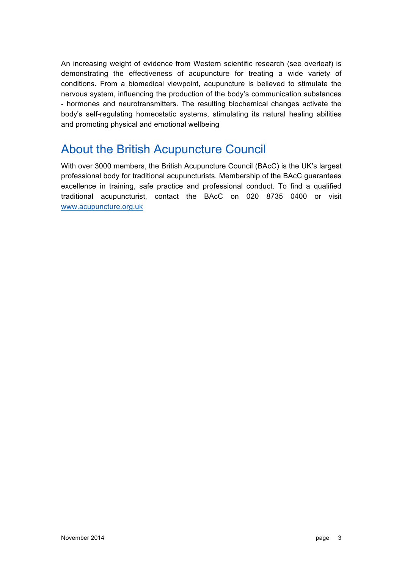An increasing weight of evidence from Western scientific research (see overleaf) is demonstrating the effectiveness of acupuncture for treating a wide variety of conditions. From a biomedical viewpoint, acupuncture is believed to stimulate the nervous system, influencing the production of the body's communication substances - hormones and neurotransmitters. The resulting biochemical changes activate the body's self-regulating homeostatic systems, stimulating its natural healing abilities and promoting physical and emotional wellbeing

# About the British Acupuncture Council

With over 3000 members, the British Acupuncture Council (BAcC) is the UK's largest professional body for traditional acupuncturists. Membership of the BAcC guarantees excellence in training, safe practice and professional conduct. To find a qualified traditional acupuncturist, contact the BAcC on 020 8735 0400 or visit www.acupuncture.org.uk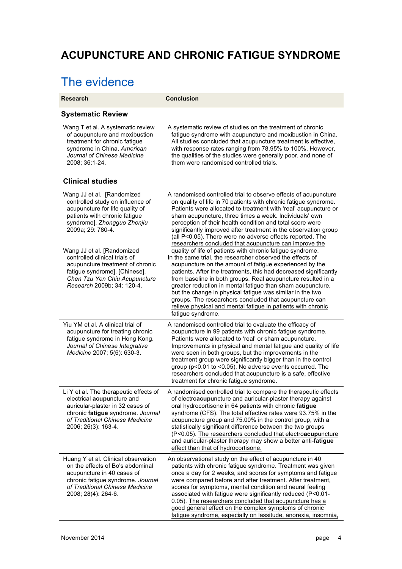# **ACUPUNCTURE AND CHRONIC FATIGUE SYNDROME**

# The evidence

| <b>Research</b>                                                                                                                                                                                                                                                                                                            | <b>Conclusion</b>                                                                                                                                                                                                                                                                                                                                                                                                                                                                                                                                                                                                                                                                                                                                                                 |
|----------------------------------------------------------------------------------------------------------------------------------------------------------------------------------------------------------------------------------------------------------------------------------------------------------------------------|-----------------------------------------------------------------------------------------------------------------------------------------------------------------------------------------------------------------------------------------------------------------------------------------------------------------------------------------------------------------------------------------------------------------------------------------------------------------------------------------------------------------------------------------------------------------------------------------------------------------------------------------------------------------------------------------------------------------------------------------------------------------------------------|
| <b>Systematic Review</b>                                                                                                                                                                                                                                                                                                   |                                                                                                                                                                                                                                                                                                                                                                                                                                                                                                                                                                                                                                                                                                                                                                                   |
| Wang T et al. A systematic review<br>of acupuncture and moxibustion<br>treatment for chronic fatigue<br>syndrome in China. American<br>Journal of Chinese Medicine<br>2008; 36:1-24.                                                                                                                                       | A systematic review of studies on the treatment of chronic<br>fatigue syndrome with acupuncture and moxibustion in China.<br>All studies concluded that acupuncture treatment is effective,<br>with response rates ranging from 78.95% to 100%. However,<br>the qualities of the studies were generally poor, and none of<br>them were randomised controlled trials.                                                                                                                                                                                                                                                                                                                                                                                                              |
| <b>Clinical studies</b>                                                                                                                                                                                                                                                                                                    |                                                                                                                                                                                                                                                                                                                                                                                                                                                                                                                                                                                                                                                                                                                                                                                   |
| Wang JJ et al. [Randomized<br>controlled study on influence of<br>acupuncture for life quality of<br>patients with chronic fatigue<br>syndrome]. Zhongguo Zhenjiu<br>2009a; 29: 780-4.<br>Wang JJ et al. [Randomized<br>controlled clinical trials of<br>acupuncture treatment of chronic<br>fatigue syndrome]. [Chinese]. | A randomised controlled trial to observe effects of acupuncture<br>on quality of life in 70 patients with chronic fatigue syndrome.<br>Patients were allocated to treatment with 'real' acupuncture or<br>sham acupuncture, three times a week. Individuals' own<br>perception of their health condition and total score were<br>significantly improved after treatment in the observation group<br>(all P<0.05). There were no adverse effects reported. The<br>researchers concluded that acupuncture can improve the<br>quality of life of patients with chronic fatigue syndrome.<br>In the same trial, the researcher observed the effects of<br>acupuncture on the amount of fatigue experienced by the<br>patients. After the treatments, this had decreased significantly |
| Chen Tzu Yen Chiu Acupuncture<br>Research 2009b; 34: 120-4.                                                                                                                                                                                                                                                                | from baseline in both groups. Real acupuncture resulted in a<br>greater reduction in mental fatigue than sham acupuncture,<br>but the change in physical fatigue was similar in the two<br>groups. The researchers concluded that acupuncture can<br>relieve physical and mental fatigue in patients with chronic<br>fatigue syndrome.                                                                                                                                                                                                                                                                                                                                                                                                                                            |
| Yiu YM et al. A clinical trial of<br>acupuncture for treating chronic<br>fatigue syndrome in Hong Kong.<br>Journal of Chinese Integrative<br>Medicine 2007; 5(6): 630-3.                                                                                                                                                   | A randomised controlled trial to evaluate the efficacy of<br>acupuncture in 99 patients with chronic fatigue syndrome.<br>Patients were allocated to 'real' or sham acupuncture.<br>Improvements in physical and mental fatigue and quality of life<br>were seen in both groups, but the improvements in the<br>treatment group were significantly bigger than in the control<br>group (p<0.01 to <0.05). No adverse events occurred. The<br>researchers concluded that acupuncture is a safe, effective<br>treatment for chronic fatigue syndrome.                                                                                                                                                                                                                               |
| Li Y et al. The therapeutic effects of<br>electrical acupuncture and<br>auricular-plaster in 32 cases of<br>chronic fatigue syndrome. Journal<br>of Traditional Chinese Medicine<br>2006; 26(3): 163-4.                                                                                                                    | A randomised controlled trial to compare the therapeutic effects<br>of electroacupuncture and auricular-plaster therapy against<br>oral hydrocortisone in 64 patients with chronic fatigue<br>syndrome (CFS). The total effective rates were 93.75% in the<br>acupuncture group and 75.00% in the control group, with a<br>statistically significant difference between the two groups<br>(P<0.05). The researchers concluded that electroacupuncture<br>and auricular-plaster therapy may show a better anti-fatigue<br>effect than that of hydrocortisone.                                                                                                                                                                                                                      |
| Huang Y et al. Clinical observation<br>on the effects of Bo's abdominal<br>acupuncture in 40 cases of<br>chronic fatigue syndrome. Journal<br>of Traditional Chinese Medicine<br>2008; 28(4): 264-6.                                                                                                                       | An observational study on the effect of acupuncture in 40<br>patients with chronic fatigue syndrome. Treatment was given<br>once a day for 2 weeks, and scores for symptoms and fatigue<br>were compared before and after treatment. After treatment,<br>scores for symptoms, mental condition and neural feeling<br>associated with fatigue were significantly reduced (P<0.01-<br>0.05). The researchers concluded that acupuncture has a<br>good general effect on the complex symptoms of chronic<br>fatigue syndrome, especially on lassitude, anorexia, insomnia,                                                                                                                                                                                                           |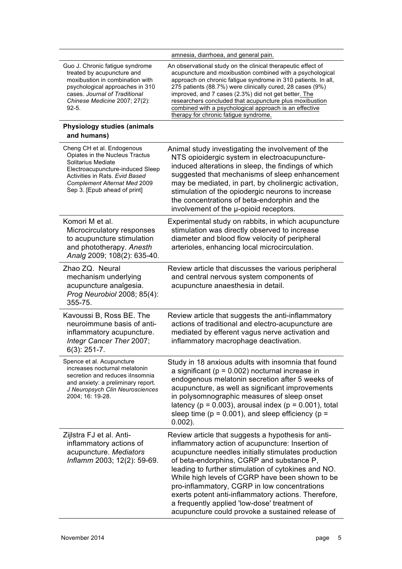|                                                                                                                                                                                                                                 | amnesia, diarrhoea, and general pain.                                                                                                                                                                                                                                                                                                                                                                                                                                                                                            |
|---------------------------------------------------------------------------------------------------------------------------------------------------------------------------------------------------------------------------------|----------------------------------------------------------------------------------------------------------------------------------------------------------------------------------------------------------------------------------------------------------------------------------------------------------------------------------------------------------------------------------------------------------------------------------------------------------------------------------------------------------------------------------|
| Guo J. Chronic fatigue syndrome<br>treated by acupuncture and<br>moxibustion in combination with<br>psychological approaches in 310<br>cases. Journal of Traditional<br>Chinese Medicine 2007; 27(2):<br>$92 - 5.$              | An observational study on the clinical therapeutic effect of<br>acupuncture and moxibustion combined with a psychological<br>approach on chronic fatigue syndrome in 310 patients. In all,<br>275 patients (88.7%) were clinically cured, 28 cases (9%)<br>improved, and 7 cases (2.3%) did not get better. The<br>researchers concluded that acupuncture plus moxibustion<br>combined with a psychological approach is an effective<br>therapy for chronic fatigue syndrome.                                                    |
| <b>Physiology studies (animals</b><br>and humans)                                                                                                                                                                               |                                                                                                                                                                                                                                                                                                                                                                                                                                                                                                                                  |
| Cheng CH et al. Endogenous<br>Opiates in the Nucleus Tractus<br>Solitarius Mediate<br>Electroacupuncture-induced Sleep<br>Activities in Rats. Evid Based<br><b>Complement Alternat Med 2009</b><br>Sep 3. [Epub ahead of print] | Animal study investigating the involvement of the<br>NTS opioidergic system in electroacupuncture-<br>induced alterations in sleep, the findings of which<br>suggested that mechanisms of sleep enhancement<br>may be mediated, in part, by cholinergic activation,<br>stimulation of the opiodergic neurons to increase<br>the concentrations of beta-endorphin and the<br>involvement of the u-opioid receptors.                                                                                                               |
| Komori M et al.<br>Microcirculatory responses<br>to acupuncture stimulation<br>and phototherapy. Anesth<br>Analg 2009; 108(2): 635-40.                                                                                          | Experimental study on rabbits, in which acupuncture<br>stimulation was directly observed to increase<br>diameter and blood flow velocity of peripheral<br>arterioles, enhancing local microcirculation.                                                                                                                                                                                                                                                                                                                          |
| Zhao ZQ. Neural<br>mechanism underlying<br>acupuncture analgesia.<br>Prog Neurobiol 2008; 85(4):<br>355-75.                                                                                                                     | Review article that discusses the various peripheral<br>and central nervous system components of<br>acupuncture anaesthesia in detail.                                                                                                                                                                                                                                                                                                                                                                                           |
| Kavoussi B, Ross BE. The<br>neuroimmune basis of anti-<br>inflammatory acupuncture.<br>Integr Cancer Ther 2007;<br>$6(3)$ : 251-7.                                                                                              | Review article that suggests the anti-inflammatory<br>actions of traditional and electro-acupuncture are<br>mediated by efferent vagus nerve activation and<br>inflammatory macrophage deactivation.                                                                                                                                                                                                                                                                                                                             |
| Spence et al. Acupuncture<br>increases nocturnal melatonin<br>secretion and reduces ilnsomnia<br>and anxiety: a preliminary report.<br>J Neuropsych Clin Neurosciences<br>2004; 16: 19-28.                                      | Study in 18 anxious adults with insomnia that found<br>a significant ( $p = 0.002$ ) nocturnal increase in<br>endogenous melatonin secretion after 5 weeks of<br>acupuncture, as well as significant improvements<br>in polysomnographic measures of sleep onset<br>latency ( $p = 0.003$ ), arousal index ( $p = 0.001$ ), total<br>sleep time ( $p = 0.001$ ), and sleep efficiency ( $p =$<br>$0.002$ ).                                                                                                                      |
| Zijlstra FJ et al. Anti-<br>inflammatory actions of<br>acupuncture. Mediators<br>Inflamm 2003; 12(2): 59-69.                                                                                                                    | Review article that suggests a hypothesis for anti-<br>inflammatory action of acupuncture: Insertion of<br>acupuncture needles initially stimulates production<br>of beta-endorphins, CGRP and substance P,<br>leading to further stimulation of cytokines and NO.<br>While high levels of CGRP have been shown to be<br>pro-inflammatory, CGRP in low concentrations<br>exerts potent anti-inflammatory actions. Therefore,<br>a frequently applied 'low-dose' treatment of<br>acupuncture could provoke a sustained release of |